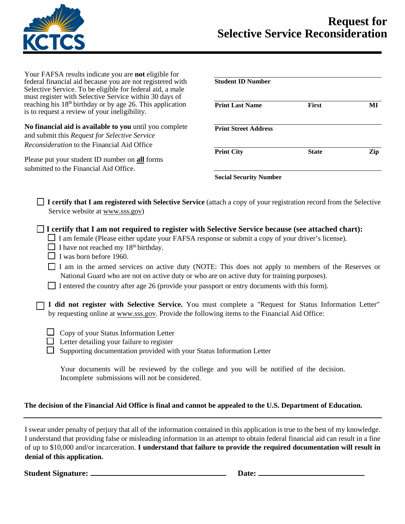

Your FAFSA results indicate you are **not** eligible for federal financial aid because you are not registered with Selective Service. To be eligible for federal aid, a male must register with Selective Service within 30 days of reaching his  $18<sup>th</sup>$  birthday or by age 26. This application is to request a review of your ineligibility.

**No financial aid is available to you** until you complete and submit this *Request for Selective Service Reconsideration* to the Financial Aid Office

Please put your student ID number on **all** forms submitted to the Financial Aid Office.

| <b>First</b> | MI  |
|--------------|-----|
|              |     |
| <b>State</b> | Zip |
|              |     |

**I certify that I am registered with Selective Service** (attach a copy of your registration record from the Selective Service website at www.sss.gov)

**I certify that I am not required to register with Selective Service because (see attached chart):**

 $\Box$  I am female (Please either update your FAFSA response or submit a copy of your driver's license).

- $\Box$  I have not reached my 18<sup>th</sup> birthday.
- $\Box$  I was born before 1960.

 I am in the armed services on active duty (NOTE: This does not apply to members of the Reserves or National Guard who are not on active duty or who are on active duty for training purposes).

I entered the country after age 26 (provide your passport or entry documents with this form).

**I did not register with Selective Service.** You must complete a "Request for Status Information Letter" by requesting online at www.sss.gov. Provide the following items to the Financial Aid Office:

- $\Box$  Copy of your Status Information Letter
- $\Box$  Letter detailing your failure to register

 $\Box$  Supporting documentation provided with your Status Information Letter

Your documents will be reviewed by the college and you will be notified of the decision. Incomplete submissions will not be considered.

## **The decision of the Financial Aid Office is final and cannot be appealed to the U.S. Department of Education.**

I swear under penalty of perjury that all of the information contained in this application is true to the best of my knowledge. I understand that providing false or misleading information in an attempt to obtain federal financial aid can result in a fine of up to \$10,000 and/or incarceration. **I understand that failure to provide the required documentation will result in denial of this application.**

**Student Signature: Date:**